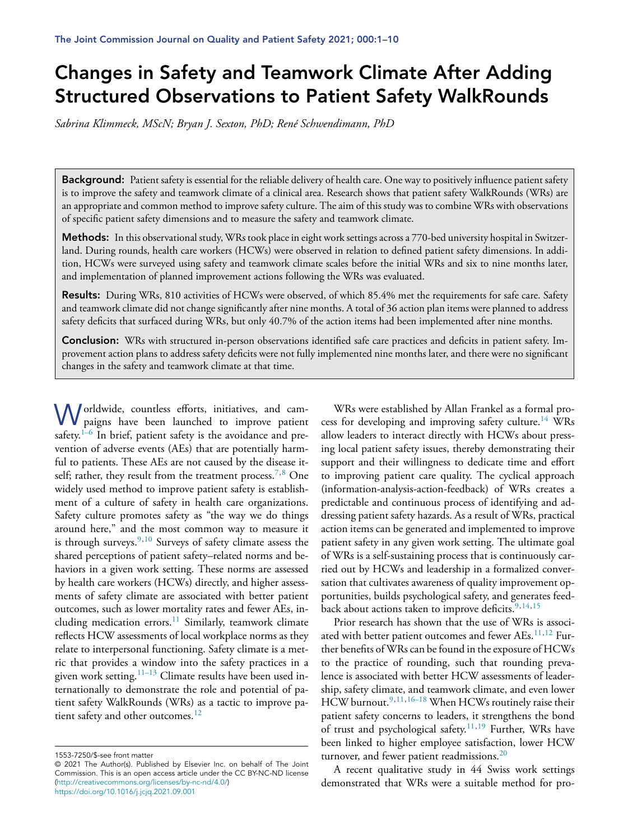# **Changes in Safety and Teamwork Climate After Adding Structured Observations to Patient Safety WalkRounds**

*Sabrina Klimmeck, MScN; Bryan J. Sexton, PhD; René Schwendimann, PhD*

Background: Patient safety is essential for the reliable delivery of health care. One way to positively influence patient safety is to improve the safety and teamwork climate of a clinical area. Research shows that patient safety WalkRounds (WRs) are an appropriate and common method to improve safety culture. The aim of this study was to combine WRs with observations of specific patient safety dimensions and to measure the safety and teamwork climate.

Methods: In this observational study, WRs took place in eight work settings across a 770-bed university hospital in Switzerland. During rounds, health care workers (HCWs) were observed in relation to defined patient safety dimensions. In addition, HCWs were surveyed using safety and teamwork climate scales before the initial WRs and six to nine months later, and implementation of planned improvement actions following the WRs was evaluated.

**Results:** During WRs, 810 activities of HCWs were observed, of which 85.4% met the requirements for safe care. Safety and teamwork climate did not change significantly after nine months. A total of 36 action plan items were planned to address safety deficits that surfaced during WRs, but only 40.7% of the action items had been implemented after nine months.

**Conclusion:** WRs with structured in-person observations identified safe care practices and deficits in patient safety. Improvement action plans to address safety deficits were not fully implemented nine months later, and there were no significant changes in the safety and teamwork climate at that time.

Worldwide, countless efforts, initiatives, and campaigns have been launched to improve patient safety. $1-6$  In brief, patient safety is the avoidance and prevention of adverse events (AEs) that are potentially harmful to patients. These AEs are not caused by the disease it-self; rather, they result from the treatment process.<sup>[7,8](#page-8-0)</sup> One widely used method to improve patient safety is establishment of a culture of safety in health care organizations. Safety culture promotes safety as "the way we do things around here," and the most common way to measure it is through surveys. $9,10$  Surveys of safety climate assess the shared perceptions of patient safety–related norms and behaviors in a given work setting. These norms are assessed by health care workers (HCWs) directly, and higher assessments of safety climate are associated with better patient outcomes, such as lower mortality rates and fewer AEs, in-cluding medication errors.<sup>[11](#page-8-0)</sup> Similarly, teamwork climate reflects HCW assessments of local workplace norms as they relate to interpersonal functioning. Safety climate is a metric that provides a window into the safety practices in a given work setting.<sup>[11–13](#page-8-0)</sup> Climate results have been used internationally to demonstrate the role and potential of patient safety WalkRounds (WRs) as a tactic to improve pa-tient safety and other outcomes.<sup>[12](#page-8-0)</sup>

WRs were established by Allan Frankel as a formal pro-cess for developing and improving safety culture.<sup>[14](#page-8-0)</sup> WRs allow leaders to interact directly with HCWs about pressing local patient safety issues, thereby demonstrating their support and their willingness to dedicate time and effort to improving patient care quality. The cyclical approach (information-analysis-action-feedback) of WRs creates a predictable and continuous process of identifying and addressing patient safety hazards. As a result of WRs, practical action items can be generated and implemented to improve patient safety in any given work setting. The ultimate goal of WRs is a self-sustaining process that is continuously carried out by HCWs and leadership in a formalized conversation that cultivates awareness of quality improvement opportunities, builds psychological safety, and generates feedback about actions taken to improve deficits.  $9,14,15$ 

Prior research has shown that the use of WRs is associ-ated with better patient outcomes and fewer AEs.<sup>[11,12](#page-8-0)</sup> Further benefits of WRs can be found in the exposure of  $HCWs$ to the practice of rounding, such that rounding prevalence is associated with better HCW assessments of leadership, safety climate, and teamwork climate, and even lower HCW burnout.<sup>[9,11,16–18](#page-8-0)</sup> When HCWs routinely raise their patient safety concerns to leaders, it strengthens the bond of trust and psychological safety.<sup>[11,19](#page-8-0)</sup> Further, WRs have been linked to higher employee satisfaction, lower HCW turnover, and fewer patient readmissions.<sup>[20](#page-8-0)</sup>

A recent qualitative study in 44 Swiss work settings demonstrated that WRs were a suitable method for pro-

<sup>1553-7250/\$-</sup>see front matter

<sup>© 2021</sup> The Author(s). Published by Elsevier Inc. on behalf of The Joint Commission. This is an open access article under the CC BY-NC-ND license [\(http://creativecommons.org/licenses/by-nc-nd/4.0/\)](http://creativecommons.org/licenses/by-nc-nd/4.0/) <https://doi.org/10.1016/j.jcjq.2021.09.001>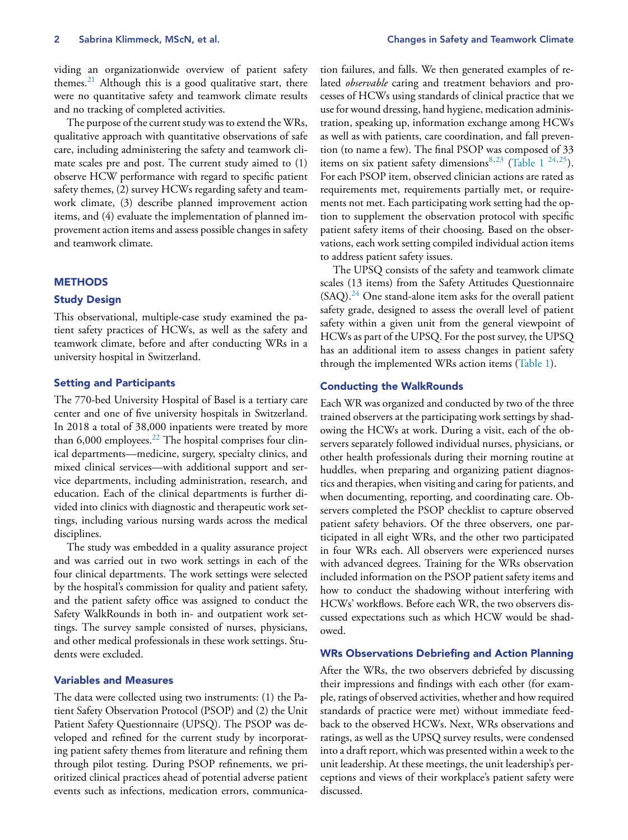viding an organizationwide overview of patient safety themes. $21$  Although this is a good qualitative start, there were no quantitative safety and teamwork climate results and no tracking of completed activities.

The purpose of the current study was to extend the WRs, qualitative approach with quantitative observations of safe care, including administering the safety and teamwork climate scales pre and post. The current study aimed to (1) observe HCW performance with regard to specific patient safety themes, (2) survey HCWs regarding safety and teamwork climate, (3) describe planned improvement action items, and (4) evaluate the implementation of planned improvement action items and assess possible changes in safety and teamwork climate.

## **METHODS**

## **Study Design**

This observational, multiple-case study examined the patient safety practices of HCWs, as well as the safety and teamwork climate, before and after conducting WRs in a university hospital in Switzerland.

## **Setting and Participants**

The 770-bed University Hospital of Basel is a tertiary care center and one of five university hospitals in Switzerland. In 2018 a total of 38,000 inpatients were treated by more than  $6,000$  employees.<sup>[22](#page-8-0)</sup> The hospital comprises four clinical departments—medicine, surgery, specialty clinics, and mixed clinical services—with additional support and service departments, including administration, research, and education. Each of the clinical departments is further divided into clinics with diagnostic and therapeutic work settings, including various nursing wards across the medical disciplines.

The study was embedded in a quality assurance project and was carried out in two work settings in each of the four clinical departments. The work settings were selected by the hospital's commission for quality and patient safety, and the patient safety office was assigned to conduct the Safety WalkRounds in both in- and outpatient work settings. The survey sample consisted of nurses, physicians, and other medical professionals in these work settings. Students were excluded.

## **Variables and Measures**

The data were collected using two instruments: (1) the Patient Safety Observation Protocol (PSOP) and (2) the Unit Patient Safety Questionnaire (UPSQ). The PSOP was developed and refined for the current study by incorporating patient safety themes from literature and refining them through pilot testing. During PSOP refinements, we prioritized clinical practices ahead of potential adverse patient events such as infections, medication errors, communica-

tion failures, and falls. We then generated examples of related *observable* caring and treatment behaviors and processes of HCWs using standards of clinical practice that we use for wound dressing, hand hygiene, medication administration, speaking up, information exchange among HCWs as well as with patients, care coordination, and fall prevention (to name a few). The final PSOP was composed of 33 items on six patient safety dimensions<sup>[8,23](#page-8-0)</sup> [\(Table](#page-2-0) 1<sup>24,25</sup>). For each PSOP item, observed clinician actions are rated as requirements met, requirements partially met, or requirements not met. Each participating work setting had the option to supplement the observation protocol with specific patient safety items of their choosing. Based on the observations, each work setting compiled individual action items to address patient safety issues.

The UPSQ consists of the safety and teamwork climate scales (13 items) from the Safety Attitudes Questionnaire  $(SAQ).<sup>24</sup>$  $(SAQ).<sup>24</sup>$  $(SAQ).<sup>24</sup>$  One stand-alone item asks for the overall patient safety grade, designed to assess the overall level of patient safety within a given unit from the general viewpoint of HCWs as part of the UPSQ. For the post survey, the UPSQ has an additional item to assess changes in patient safety through the implemented WRs action items [\(Table](#page-2-0) 1).

#### **Conducting the WalkRounds**

Each WR was organized and conducted by two of the three trained observers at the participating work settings by shadowing the HCWs at work. During a visit, each of the observers separately followed individual nurses, physicians, or other health professionals during their morning routine at huddles, when preparing and organizing patient diagnostics and therapies, when visiting and caring for patients, and when documenting, reporting, and coordinating care. Observers completed the PSOP checklist to capture observed patient safety behaviors. Of the three observers, one participated in all eight WRs, and the other two participated in four WRs each. All observers were experienced nurses with advanced degrees. Training for the WRs observation included information on the PSOP patient safety items and how to conduct the shadowing without interfering with HCWs' workflows. Before each WR, the two observers discussed expectations such as which HCW would be shadowed.

## **WRs Observations Debriefing and Action Planning**

After the WRs, the two observers debriefed by discussing their impressions and findings with each other (for example, ratings of observed activities, whether and how required standards of practice were met) without immediate feedback to the observed HCWs. Next, WRs observations and ratings, as well as the UPSQ survey results, were condensed into a draft report, which was presented within a week to the unit leadership. At these meetings, the unit leadership's perceptions and views of their workplace's patient safety were discussed.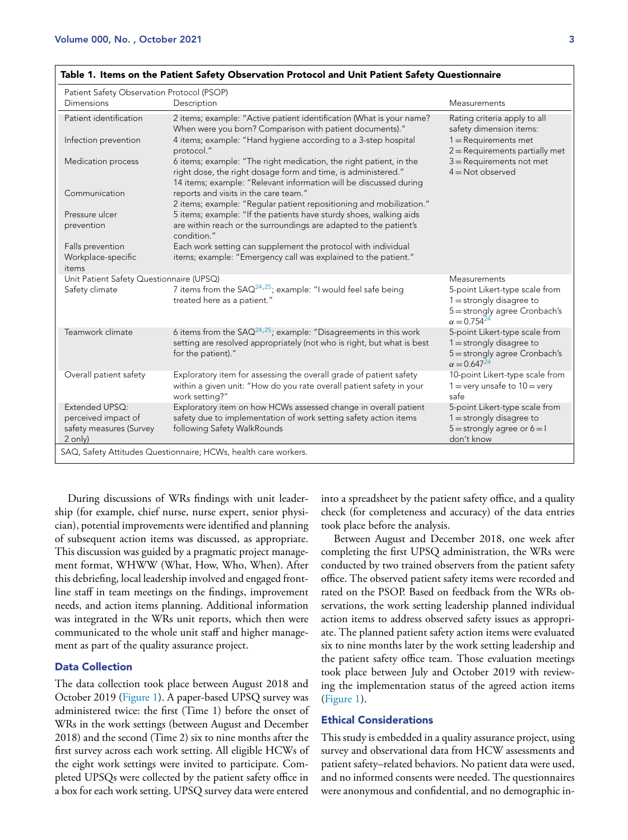| Patient Safety Observation Protocol (PSOP)<br>Dimensions | Description                                                                                                                                                                                              | Measurements                                                                                                           |
|----------------------------------------------------------|----------------------------------------------------------------------------------------------------------------------------------------------------------------------------------------------------------|------------------------------------------------------------------------------------------------------------------------|
| Patient identification                                   | 2 items; example: "Active patient identification (What is your name?<br>When were you born? Comparison with patient documents)."                                                                         | Rating criteria apply to all<br>safety dimension items:                                                                |
| Infection prevention                                     | 4 items; example: "Hand hygiene according to a 3-step hospital<br>protocol."                                                                                                                             | $1 =$ Requirements met<br>$2$ = Requirements partially met                                                             |
| Medication process                                       | 6 items; example: "The right medication, the right patient, in the<br>right dose, the right dosage form and time, is administered."<br>14 items; example: "Relevant information will be discussed during | $3$ = Requirements not met<br>$4 = Not observed$                                                                       |
| Communication                                            | reports and visits in the care team."<br>2 items; example: "Reqular patient repositioning and mobilization."                                                                                             |                                                                                                                        |
| Pressure ulcer<br>prevention                             | 5 items; example: "If the patients have sturdy shoes, walking aids<br>are within reach or the surroundings are adapted to the patient's                                                                  |                                                                                                                        |
|                                                          | condition."                                                                                                                                                                                              |                                                                                                                        |
| Falls prevention                                         | Each work setting can supplement the protocol with individual                                                                                                                                            |                                                                                                                        |
| Workplace-specific<br>items                              | items; example: "Emergency call was explained to the patient."                                                                                                                                           |                                                                                                                        |
| Unit Patient Safety Questionnaire (UPSQ)                 |                                                                                                                                                                                                          | Measurements                                                                                                           |
| Safety climate                                           | 7 items from the $SAO^{24,25}$ ; example: "I would feel safe being<br>treated here as a patient."                                                                                                        | 5-point Likert-type scale from<br>$1 =$ strongly disagree to<br>5 = strongly agree Cronbach's<br>$\alpha = 0.754^{24}$ |
| Teamwork climate                                         | 6 items from the $SAO^{24,25}$ ; example: "Disagreements in this work<br>setting are resolved appropriately (not who is right, but what is best<br>for the patient)."                                    | 5-point Likert-type scale from<br>$1 =$ strongly disagree to<br>5 = strongly agree Cronbach's<br>$\alpha = 0.647^{24}$ |
| Overall patient safety                                   | Exploratory item for assessing the overall grade of patient safety<br>within a given unit: "How do you rate overall patient safety in your<br>work setting?"                                             | 10-point Likert-type scale from<br>$1 =$ very unsafe to $10 =$ very<br>safe                                            |
| Extended UPSQ:<br>perceived impact of                    | Exploratory item on how HCWs assessed change in overall patient<br>safety due to implementation of work setting safety action items                                                                      | 5-point Likert-type scale from<br>$1 =$ strongly disagree to                                                           |
| safety measures (Survey                                  | following Safety WalkRounds                                                                                                                                                                              | $5 =$ strongly agree or $6 = 1$                                                                                        |
| 2 only)                                                  |                                                                                                                                                                                                          | don't know                                                                                                             |
|                                                          | SAQ, Safety Attitudes Questionnaire; HCWs, health care workers.                                                                                                                                          |                                                                                                                        |

#### <span id="page-2-0"></span>**Table 1. Items on the Patient Safety Observation Protocol and Unit Patient Safety Questionnaire**

During discussions of WRs findings with unit leadership (for example, chief nurse, nurse expert, senior physician), potential improvements were identified and planning of subsequent action items was discussed, as appropriate. This discussion was guided by a pragmatic project management format, WHWW (What, How, Who, When). After this debriefing, local leadership involved and engaged frontline staff in team meetings on the findings, improvement needs, and action items planning. Additional information was integrated in the WRs unit reports, which then were communicated to the whole unit staff and higher management as part of the quality assurance project.

# **Data Collection**

The data collection took place between August 2018 and October 2019 [\(Figure](#page-3-0) 1). A paper-based UPSQ survey was administered twice: the first (Time 1) before the onset of WRs in the work settings (between August and December 2018) and the second (Time 2) six to nine months after the first survey across each work setting. All eligible HCWs of the eight work settings were invited to participate. Completed UPSQs were collected by the patient safety office in a box for each work setting. UPSQ survey data were entered into a spreadsheet by the patient safety office, and a quality check (for completeness and accuracy) of the data entries took place before the analysis.

Between August and December 2018, one week after completing the first UPSQ administration, the WRs were conducted by two trained observers from the patient safety office. The observed patient safety items were recorded and rated on the PSOP. Based on feedback from the WRs observations, the work setting leadership planned individual action items to address observed safety issues as appropriate. The planned patient safety action items were evaluated six to nine months later by the work setting leadership and the patient safety office team. Those evaluation meetings took place between July and October 2019 with reviewing the implementation status of the agreed action items [\(Figure](#page-3-0) 1).

## **Ethical Considerations**

This study is embedded in a quality assurance project, using survey and observational data from HCW assessments and patient safety–related behaviors. No patient data were used, and no informed consents were needed. The questionnaires were anonymous and confidential, and no demographic in-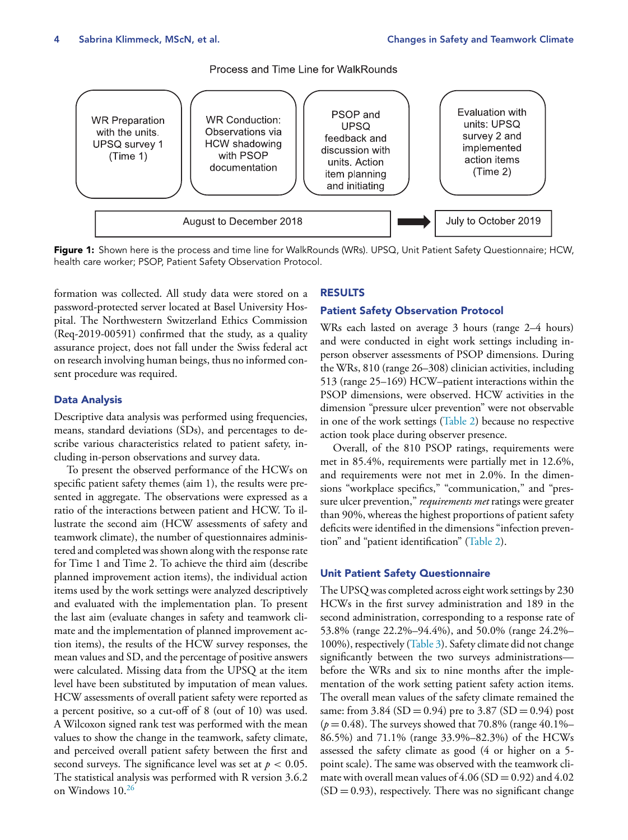# Process and Time Line for WalkRounds

<span id="page-3-0"></span>

**Figure 1:** Shown here is the process and time line for WalkRounds (WRs). UPSQ, Unit Patient Safety Questionnaire; HCW, health care worker; PSOP, Patient Safety Observation Protocol.

formation was collected. All study data were stored on a password-protected server located at Basel University Hospital. The Northwestern Switzerland Ethics Commission (Req-2019-00591) confirmed that the study, as a quality assurance project, does not fall under the Swiss federal act on research involving human beings, thus no informed consent procedure was required.

# **Data Analysis**

Descriptive data analysis was performed using frequencies, means, standard deviations (SDs), and percentages to describe various characteristics related to patient safety, including in-person observations and survey data.

To present the observed performance of the HCWs on specific patient safety themes (aim 1), the results were presented in aggregate. The observations were expressed as a ratio of the interactions between patient and HCW. To illustrate the second aim (HCW assessments of safety and teamwork climate), the number of questionnaires administered and completed was shown along with the response rate for Time 1 and Time 2. To achieve the third aim (describe planned improvement action items), the individual action items used by the work settings were analyzed descriptively and evaluated with the implementation plan. To present the last aim (evaluate changes in safety and teamwork climate and the implementation of planned improvement action items), the results of the HCW survey responses, the mean values and SD, and the percentage of positive answers were calculated. Missing data from the UPSQ at the item level have been substituted by imputation of mean values. HCW assessments of overall patient safety were reported as a percent positive, so a cut-off of 8 (out of 10) was used. A Wilcoxon signed rank test was performed with the mean values to show the change in the teamwork, safety climate, and perceived overall patient safety between the first and second surveys. The significance level was set at  $p < 0.05$ . The statistical analysis was performed with R version 3.6.2 on Windows 10.[26](#page-8-0)

## **RESULTS**

## **Patient Safety Observation Protocol**

WRs each lasted on average 3 hours (range 2–4 hours) and were conducted in eight work settings including inperson observer assessments of PSOP dimensions. During the WRs, 810 (range 26–308) clinician activities, including 513 (range 25–169) HCW–patient interactions within the PSOP dimensions, were observed. HCW activities in the dimension "pressure ulcer prevention" were not observable in one of the work settings [\(Table](#page-4-0) 2) because no respective action took place during observer presence.

Overall, of the 810 PSOP ratings, requirements were met in 85.4%, requirements were partially met in 12.6%, and requirements were not met in 2.0%. In the dimensions "workplace specifics," "communication," and "pressure ulcer prevention," *requirements met* ratings were greater than 90%, whereas the highest proportions of patient safety deficits were identified in the dimensions "infection prevention" and "patient identification" [\(Table](#page-4-0) 2).

## **Unit Patient Safety Questionnaire**

The UPSQ was completed acrosseight work settings by 230 HCWs in the first survey administration and 189 in the second administration, corresponding to a response rate of 53.8% (range 22.2%–94.4%), and 50.0% (range 24.2%– 100%), respectively [\(Table](#page-4-0) 3). Safety climate did not change significantly between the two surveys administrations before the WRs and six to nine months after the implementation of the work setting patient safety action items. The overall mean values of the safety climate remained the same: from 3.84 (SD = 0.94) pre to 3.87 (SD = 0.94) post  $(p = 0.48)$ . The surveys showed that 70.8% (range 40.1%– 86.5%) and 71.1% (range 33.9%–82.3%) of the HCWs assessed the safety climate as good (4 or higher on a 5 point scale). The same was observed with the teamwork climate with overall mean values of  $4.06$  (SD = 0.92) and  $4.02$  $(SD = 0.93)$ , respectively. There was no significant change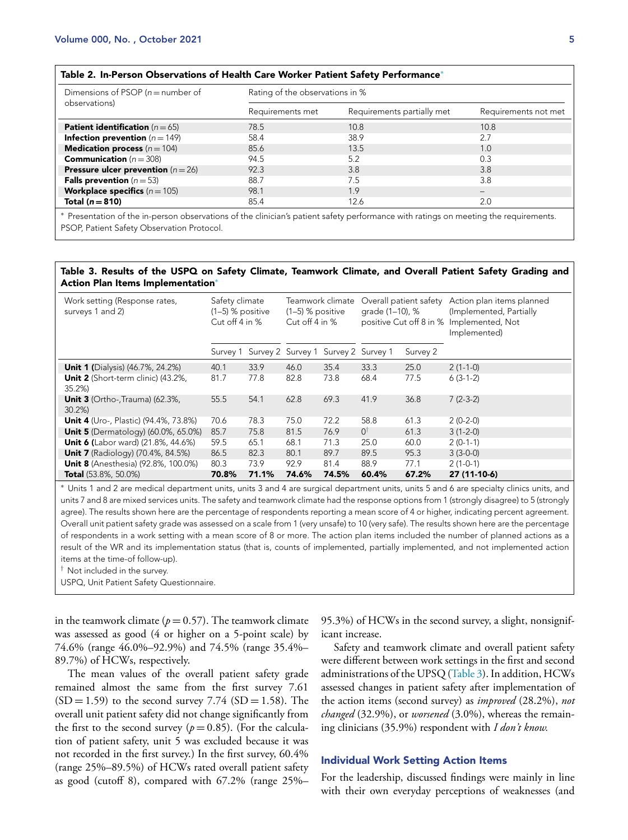## <span id="page-4-0"></span>**Table 2. In-Person Observations of Health Care Worker Patient Safety Performance**<sup>∗</sup>

| Dimensions of PSOP ( $n =$ number of          | Rating of the observations in % |                            |                          |  |  |  |
|-----------------------------------------------|---------------------------------|----------------------------|--------------------------|--|--|--|
| observations)                                 | Requirements met                | Requirements partially met | Requirements not met     |  |  |  |
| <b>Patient identification</b> ( $n = 65$ )    | 78.5                            | 10.8                       | 10.8                     |  |  |  |
| <b>Infection prevention</b> ( $n = 149$ )     | 58.4                            | 38.9                       | 2.7                      |  |  |  |
| <b>Medication process</b> ( $n = 104$ )       | 85.6                            | 13.5                       | 1.0                      |  |  |  |
| <b>Communication</b> ( $n = 308$ )            | 94.5                            | 5.2                        | 0.3                      |  |  |  |
| <b>Pressure ulcer prevention</b> ( $n = 26$ ) | 92.3                            | 3.8                        | 3.8                      |  |  |  |
| <b>Falls prevention</b> ( $n = 53$ )          | 88.7                            | 7.5                        | 3.8                      |  |  |  |
| <b>Workplace specifics</b> $(n = 105)$        | 98.1                            | 1.9                        | $\overline{\phantom{a}}$ |  |  |  |
| Total $(n=810)$                               | 85.4                            | 12.6                       | 2.0                      |  |  |  |

∗ Presentation of the in-person observations of the clinician's patient safety performance with ratings on meeting the requirements. PSOP, Patient Safety Observation Protocol.

## **Table 3. Results of the USPQ on Safety Climate, Teamwork Climate, and Overall Patient Safety Grading and Action Plan Items Implementation**<sup>∗</sup>

| Work setting (Response rates,<br>surveys 1 and 2) | Safety climate<br>Teamwork climate<br>$(1-5)$ % positive<br>$(1-5)$ % positive<br>Cut off 4 in %<br>Cut off 4 in % |       | Overall patient safety<br>grade (1–10), %<br>positive Cut off 8 in % Implemented, Not |                                              | Action plan items planned<br>(Implemented, Partially<br>Implemented) |          |              |
|---------------------------------------------------|--------------------------------------------------------------------------------------------------------------------|-------|---------------------------------------------------------------------------------------|----------------------------------------------|----------------------------------------------------------------------|----------|--------------|
|                                                   |                                                                                                                    |       |                                                                                       | Survey 1 Survey 2 Survey 1 Survey 2 Survey 1 |                                                                      | Survey 2 |              |
| <b>Unit 1 (Dialysis) (46.7%, 24.2%)</b>           | 40.1                                                                                                               | 33.9  | 46.0                                                                                  | 35.4                                         | 33.3                                                                 | 25.0     | $2(1-1-0)$   |
| Unit 2 (Short-term clinic) (43.2%,<br>35.2%       | 81.7                                                                                                               | 77.8  | 82.8                                                                                  | 73.8                                         | 68.4                                                                 | 77.5     | $6(3-1-2)$   |
| <b>Unit 3</b> (Ortho-, Trauma) (62.3%,<br>30.2%   | 55.5                                                                                                               | 54.1  | 62.8                                                                                  | 69.3                                         | 41.9                                                                 | 36.8     | $7(2-3-2)$   |
| <b>Unit 4</b> (Uro-, Plastic) (94.4%, 73.8%)      | 70.6                                                                                                               | 78.3  | 75.0                                                                                  | 72.2                                         | 58.8                                                                 | 61.3     | $2(0-2-0)$   |
| <b>Unit 5</b> (Dermatology) (60.0%, 65.0%)        | 85.7                                                                                                               | 75.8  | 81.5                                                                                  | 76.9                                         | $0^{\dagger}$                                                        | 61.3     | $3(1-2-0)$   |
| <b>Unit 6 (Labor ward) (21.8%, 44.6%)</b>         | 59.5                                                                                                               | 65.1  | 68.1                                                                                  | 71.3                                         | 25.0                                                                 | 60.0     | $2(0-1-1)$   |
| <b>Unit 7</b> (Radiology) (70.4%, 84.5%)          | 86.5                                                                                                               | 82.3  | 80.1                                                                                  | 89.7                                         | 89.5                                                                 | 95.3     | $3(3-0-0)$   |
| <b>Unit 8</b> (Anesthesia) (92.8%, 100.0%)        | 80.3                                                                                                               | 73.9  | 92.9                                                                                  | 81.4                                         | 88.9                                                                 | 77.1     | $2(1-0-1)$   |
| <b>Total</b> (53.8%, 50.0%)                       | 70.8%                                                                                                              | 71.1% | 74.6%                                                                                 | 74.5%                                        | 60.4%                                                                | 67.2%    | 27 (11-10-6) |

∗ Units 1 and 2 are medical department units, units 3 and 4 are surgical department units, units 5 and 6 are specialty clinics units, and units 7 and 8 are mixed services units. The safety and teamwork climate had the response options from 1 (strongly disagree) to 5 (strongly agree). The results shown here are the percentage of respondents reporting a mean score of 4 or higher, indicating percent agreement. Overall unit patient safety grade was assessed on a scale from 1 (very unsafe) to 10 (very safe). The results shown here are the percentage of respondents in a work setting with a mean score of 8 or more. The action plan items included the number of planned actions as a result of the WR and its implementation status (that is, counts of implemented, partially implemented, and not implemented action items at the time-of follow-up).

† Not included in the survey.

USPQ, Unit Patient Safety Questionnaire.

in the teamwork climate ( $p = 0.57$ ). The teamwork climate was assessed as good (4 or higher on a 5-point scale) by 74.6% (range 46.0%–92.9%) and 74.5% (range 35.4%– 89.7%) of HCWs, respectively.

The mean values of the overall patient safety grade remained almost the same from the first survey 7.61  $(SD = 1.59)$  to the second survey 7.74  $(SD = 1.58)$ . The overall unit patient safety did not change significantly from the first to the second survey ( $p = 0.85$ ). (For the calculation of patient safety, unit 5 was excluded because it was not recorded in the first survey.) In the first survey, 60.4% (range 25%–89.5%) of HCWs rated overall patient safety as good (cutoff 8), compared with 67.2% (range 25%– 95.3%) of HCWs in the second survey, a slight, nonsignificant increase.

Safety and teamwork climate and overall patient safety were different between work settings in the first and second administrations of the UPSQ (Table 3). In addition, HCWs assessed changes in patient safety after implementation of the action items (second survey) as *improved* (28.2%), *not changed* (32.9%), or *worsened* (3.0%), whereas the remaining clinicians (35.9%) respondent with *I don't know.*

# **Individual Work Setting Action Items**

For the leadership, discussed findings were mainly in line with their own everyday perceptions of weaknesses (and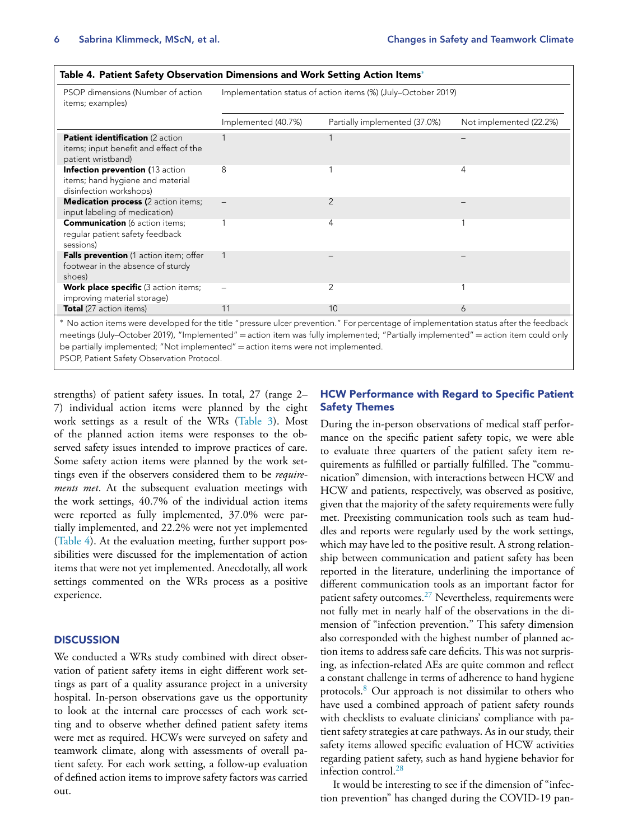| PSOP dimensions (Number of action<br>items; examples)                                            | Implementation status of action items (%) (July–October 2019) |                               |                         |  |  |  |
|--------------------------------------------------------------------------------------------------|---------------------------------------------------------------|-------------------------------|-------------------------|--|--|--|
|                                                                                                  | Implemented (40.7%)                                           | Partially implemented (37.0%) | Not implemented (22.2%) |  |  |  |
| Patient identification (2 action<br>items; input benefit and effect of the<br>patient wristband) |                                                               |                               |                         |  |  |  |
| Infection prevention (13 action<br>items; hand hygiene and material<br>disinfection workshops)   | 8                                                             |                               | 4                       |  |  |  |
| <b>Medication process (2 action items;</b><br>input labeling of medication)                      |                                                               | 2                             |                         |  |  |  |
| <b>Communication</b> (6 action items;<br>regular patient safety feedback<br>sessions)            |                                                               | 4                             |                         |  |  |  |
| Falls prevention (1 action item; offer<br>footwear in the absence of sturdy<br>shoes)            |                                                               |                               |                         |  |  |  |
| <b>Work place specific</b> (3 action items;<br>improving material storage)                       |                                                               | $\overline{2}$                |                         |  |  |  |
| <b>Total</b> (27 action items)                                                                   | 11                                                            | 10                            | 6                       |  |  |  |

∗ No action items were developed for the title "pressure ulcer prevention." For percentage of implementation status after the feedback meetings (July–October 2019), "Implemented" = action item was fully implemented; "Partially implemented" = action item could only be partially implemented; "Not implemented" = action items were not implemented.

PSOP, Patient Safety Observation Protocol.

strengths) of patient safety issues. In total, 27 (range 2– 7) individual action items were planned by the eight work settings as a result of the WRs [\(Table](#page-4-0) 3). Most of the planned action items were responses to the observed safety issues intended to improve practices of care. Some safety action items were planned by the work settings even if the observers considered them to be *requirements met*. At the subsequent evaluation meetings with the work settings, 40.7% of the individual action items were reported as fully implemented, 37.0% were partially implemented, and 22.2% were not yet implemented (Table 4). At the evaluation meeting, further support possibilities were discussed for the implementation of action items that were not yet implemented. Anecdotally, all work settings commented on the WRs process as a positive experience.

# **DISCUSSION**

We conducted a WRs study combined with direct observation of patient safety items in eight different work settings as part of a quality assurance project in a university hospital. In-person observations gave us the opportunity to look at the internal care processes of each work setting and to observe whether defined patient safety items were met as required. HCWs were surveyed on safety and teamwork climate, along with assessments of overall patient safety. For each work setting, a follow-up evaluation of defined action items to improve safety factors was carried out.

# **HCW Performance with Regard to Specific Patient Safety Themes**

During the in-person observations of medical staff performance on the specific patient safety topic, we were able to evaluate three quarters of the patient safety item requirements as fulfilled or partially fulfilled. The "communication" dimension, with interactions between HCW and HCW and patients, respectively, was observed as positive, given that the majority of the safety requirements were fully met. Preexisting communication tools such as team huddles and reports were regularly used by the work settings, which may have led to the positive result. A strong relationship between communication and patient safety has been reported in the literature, underlining the importance of different communication tools as an important factor for patient safety outcomes. $^{27}$  $^{27}$  $^{27}$  Nevertheless, requirements were not fully met in nearly half of the observations in the dimension of "infection prevention." This safety dimension also corresponded with the highest number of planned action items to address safe care deficits. This was not surprising, as infection-related AEs are quite common and reflect a constant challenge in terms of adherence to hand hygiene protocols.[8](#page-8-0) Our approach is not dissimilar to others who have used a combined approach of patient safety rounds with checklists to evaluate clinicians' compliance with patient safety strategies at care pathways. As in our study, their safety items allowed specific evaluation of HCW activities regarding patient safety, such as hand hygiene behavior for infection control.<sup>[28](#page-8-0)</sup>

It would be interesting to see if the dimension of "infection prevention" has changed during the COVID-19 pan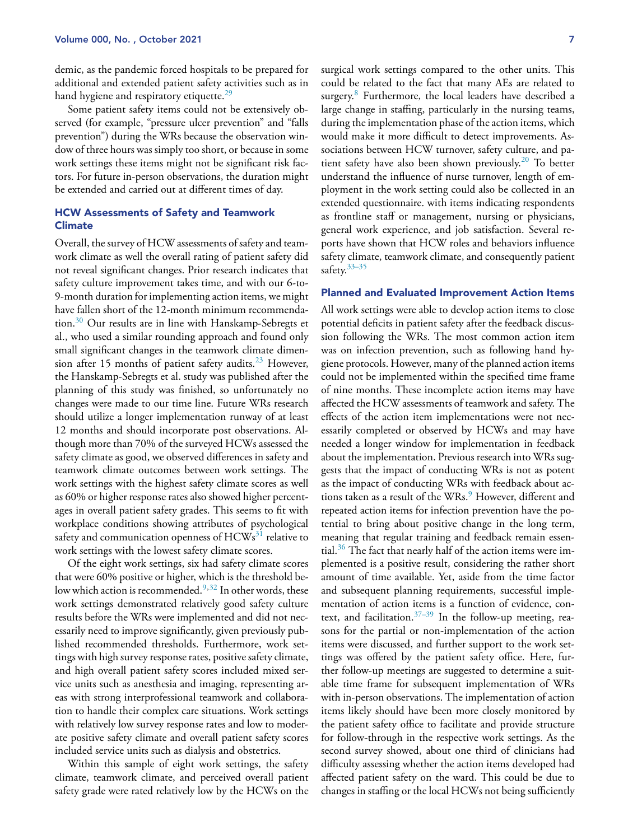demic, as the pandemic forced hospitals to be prepared for additional and extended patient safety activities such as in hand hygiene and respiratory etiquette.<sup>[29](#page-8-0)</sup>

Some patient safety items could not be extensively observed (for example, "pressure ulcer prevention" and "falls prevention") during the WRs because the observation window of three hours was simply too short, or because in some work settings these items might not be significant risk factors. For future in-person observations, the duration might be extended and carried out at different times of day.

# **HCW Assessments of Safety and Teamwork Climate**

Overall, the survey of HCW assessments of safety and teamwork climate as well the overall rating of patient safety did not reveal significant changes. Prior research indicates that safety culture improvement takes time, and with our 6-to-9-month duration for implementing action items, we might have fallen short of the 12-month minimum recommendation.[30](#page-8-0) Our results are in line with Hanskamp-Sebregts et al., who used a similar rounding approach and found only small significant changes in the teamwork climate dimen-sion after 15 months of patient safety audits.<sup>[23](#page-8-0)</sup> However, the Hanskamp-Sebregts et al. study was published after the planning of this study was finished, so unfortunately no changes were made to our time line. Future WRs research should utilize a longer implementation runway of at least 12 months and should incorporate post observations. Although more than 70% of the surveyed HCWs assessed the safety climate as good, we observed differences in safety and teamwork climate outcomes between work settings. The work settings with the highest safety climate scores as well as 60% or higher response rates also showed higher percentages in overall patient safety grades. This seems to fit with workplace conditions showing attributes of psychological safety and communication openness of  $HCWs<sup>31</sup>$  $HCWs<sup>31</sup>$  $HCWs<sup>31</sup>$  relative to work settings with the lowest safety climate scores.

Of the eight work settings, six had safety climate scores that were 60% positive or higher, which is the threshold be-low which action is recommended.<sup>[9,32](#page-8-0)</sup> In other words, these work settings demonstrated relatively good safety culture results before the WRs were implemented and did not necessarily need to improve significantly, given previously published recommended thresholds. Furthermore, work settings with high survey response rates, positive safety climate, and high overall patient safety scores included mixed service units such as anesthesia and imaging, representing areas with strong interprofessional teamwork and collaboration to handle their complex care situations. Work settings with relatively low survey response rates and low to moderate positive safety climate and overall patient safety scores included service units such as dialysis and obstetrics.

Within this sample of eight work settings, the safety climate, teamwork climate, and perceived overall patient safety grade were rated relatively low by the HCWs on the surgical work settings compared to the other units. This could be related to the fact that many AEs are related to surgery.<sup>[8](#page-8-0)</sup> Furthermore, the local leaders have described a large change in staffing, particularly in the nursing teams, during the implementation phase of the action items, which would make it more difficult to detect improvements. Associations between HCW turnover, safety culture, and pa-tient safety have also been shown previously.<sup>[20](#page-8-0)</sup> To better understand the influence of nurse turnover, length of employment in the work setting could also be collected in an extended questionnaire. with items indicating respondents as frontline staff or management, nursing or physicians, general work experience, and job satisfaction. Several reports have shown that HCW roles and behaviors influence safety climate, teamwork climate, and consequently patient safety.<sup>[33–35](#page-9-0)</sup>

## **Planned and Evaluated Improvement Action Items**

All work settings were able to develop action items to close potential deficits in patient safety after the feedback discussion following the WRs. The most common action item was on infection prevention, such as following hand hygiene protocols. However, many of the planned action items could not be implemented within the specified time frame of nine months. These incomplete action items may have affected the HCW assessments of teamwork and safety. The effects of the action item implementations were not necessarily completed or observed by HCWs and may have needed a longer window for implementation in feedback about the implementation. Previous research into WRs suggests that the impact of conducting WRs is not as potent as the impact of conducting WRs with feedback about ac-tions taken as a result of the WRs.<sup>[9](#page-8-0)</sup> However, different and repeated action items for infection prevention have the potential to bring about positive change in the long term, meaning that regular training and feedback remain essen-tial.<sup>[36](#page-9-0)</sup> The fact that nearly half of the action items were implemented is a positive result, considering the rather short amount of time available. Yet, aside from the time factor and subsequent planning requirements, successful implementation of action items is a function of evidence, con-text, and facilitation.<sup>[37–39](#page-9-0)</sup> In the follow-up meeting, reasons for the partial or non-implementation of the action items were discussed, and further support to the work settings was offered by the patient safety office. Here, further follow-up meetings are suggested to determine a suitable time frame for subsequent implementation of WRs with in-person observations. The implementation of action items likely should have been more closely monitored by the patient safety office to facilitate and provide structure for follow-through in the respective work settings. As the second survey showed, about one third of clinicians had difficulty assessing whether the action items developed had affected patient safety on the ward. This could be due to changes in staffing or thelocal HCWs not being sufficiently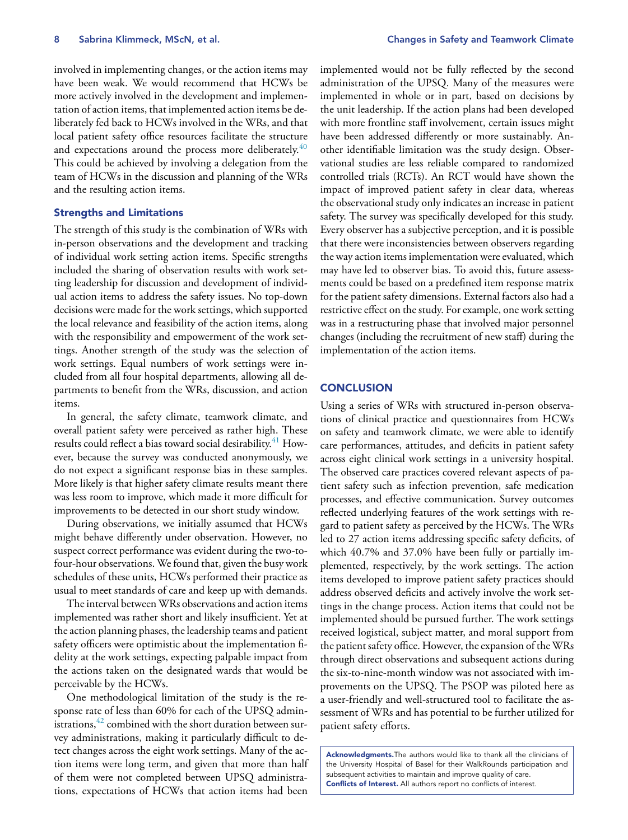involved in implementing changes, or the action items may have been weak. We would recommend that HCWs be more actively involved in the development and implementation of action items, that implemented action items be deliberately fed back to HCWs involved in the WRs, and that local patient safety office resources facilitate the structure and expectations around the process more deliberately. $40$ This could be achieved by involving a delegation from the team of HCWs in the discussion and planning of the WRs and the resulting action items.

# **Strengths and Limitations**

The strength of this study is the combination of WRs with in-person observations and the development and tracking of individual work setting action items. Specific strengths included the sharing of observation results with work setting leadership for discussion and development of individual action items to address the safety issues. No top-down decisions were made for the work settings, which supported the local relevance and feasibility of the action items, along with the responsibility and empowerment of the work settings. Another strength of the study was the selection of work settings. Equal numbers of work settings were included from all four hospital departments, allowing all departments to benefit from the WRs, discussion, and action items.

In general, the safety climate, teamwork climate, and overall patient safety were perceived as rather high. These results could reflect a bias toward social desirability.<sup>[41](#page-9-0)</sup> However, because the survey was conducted anonymously, we do not expect a significant response bias in these samples. More likely is that higher safety climate results meant there was less room to improve, which made it more difficult for improvements to be detected in our short study window.

During observations, we initially assumed that HCWs might behave differently under observation. However, no suspect correct performance was evident during the two-tofour-hour observations. We found that, given the busy work schedules of these units, HCWs performed their practice as usual to meet standards of care and keep up with demands.

The interval between WRs observations and action items implemented was rather short and likely insufficient. Yet at the action planning phases, the leadership teams and patient safety officers were optimistic about the implementation fidelity at the work settings, expecting palpable impact from the actions taken on the designated wards that would be perceivable by the HCWs.

One methodological limitation of the study is the response rate of less than 60% for each of the UPSQ administrations,  $42$  combined with the short duration between survey administrations, making it particularly difficult to detect changes across the eight work settings. Many of the action items were long term, and given that more than half of them were not completed between UPSQ administrations, expectations of HCWs that action items had been

implemented would not be fully reflected by the second administration of the UPSQ. Many of the measures were implemented in whole or in part, based on decisions by the unit leadership. If the action plans had been developed with more frontline staff involvement, certain issues might have been addressed differently or more sustainably*.* Another identifiable limitation was the study design. Observational studies are less reliable compared to randomized controlled trials (RCTs). An RCT would have shown the impact of improved patient safety in clear data, whereas the observational study only indicates an increase in patient safety. The survey was specifically developed for this study. Every observer has a subjective perception, and it is possible that there were inconsistencies between observers regarding the way action items implementation were evaluated, which may have led to observer bias. To avoid this, future assessments could be based on a predefined item response matrix for the patient safety dimensions. External factors also had a restrictive effect on the study. For example, one work setting was in a restructuring phase that involved major personnel changes (including the recruitment of new staff) during the implementation of the action items.

# **CONCLUSION**

Using a series of WRs with structured in-person observations of clinical practice and questionnaires from HCWs on safety and teamwork climate, we were able to identify care performances, attitudes, and deficits in patient safety across eight clinical work settings in a university hospital. The observed care practices covered relevant aspects of patient safety such as infection prevention, safe medication processes, and effective communication. Survey outcomes reflected underlying features of the work settings with regard to patient safety as perceived by the HCWs. The WRs led to 27 action items addressing specific safety deficits, of which 40.7% and 37.0% have been fully or partially implemented, respectively, by the work settings. The action items developed to improve patient safety practices should address observed deficits and actively involve the work settings in the change process. Action items that could not be implemented should be pursued further. The work settings received logistical, subject matter, and moral support from the patient safety office. However, the expansion of the WRs through direct observations and subsequent actions during the six-to-nine-month window was not associated with improvements on the UPSQ. The PSOP was piloted here as a user-friendly and well-structured tool to facilitate the assessment of WRs and has potential to be further utilized for patient safety efforts.

**Acknowledgments.**The authors would like to thank all the clinicians of the University Hospital of Basel for their WalkRounds participation and subsequent activities to maintain and improve quality of care. **Conflicts of Interest.** All authors report no conflicts of interest.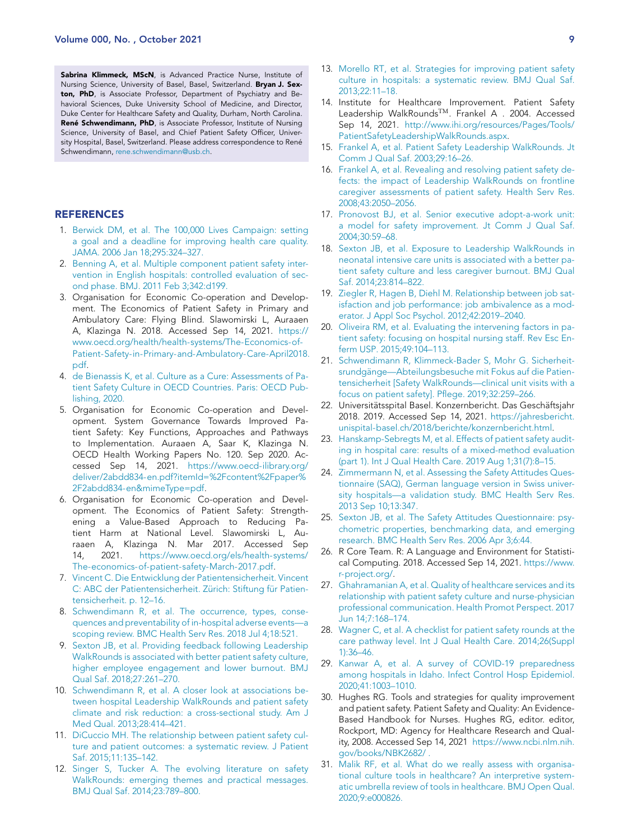<span id="page-8-0"></span>**Sabrina Klimmeck, MScN**, is Advanced Practice Nurse, Institute of Nursing Science, University of Basel, Basel, Switzerland. **Bryan J. Sexton, PhD**, is Associate Professor, Department of Psychiatry and Behavioral Sciences, Duke University School of Medicine, and Director, Duke Center for Healthcare Safety and Quality, Durham, North Carolina. **René Schwendimann, PhD**, is Associate Professor, Institute of Nursing Science, University of Basel, and Chief Patient Safety Officer, University Hospital, Basel, Switzerland. Please address correspondence to René Schwendimann, [rene.schwendimann@usb.ch.](mailto:rene.schwendimann@usb.ch)

## **REFERENCES**

- 1. [Berwick](http://refhub.elsevier.com/S1553-7250(21)00234-8/sbref0001) DM, et [al.](http://refhub.elsevier.com/S1553-7250(21)00234-8/sbref0001) The 100,000 Lives Campaign: setting a goal and a deadline for improving health care quality. JAMA. 2006 Jan [18;295:324–327.](http://refhub.elsevier.com/S1553-7250(21)00234-8/sbref0001)
- 2. [Benning](http://refhub.elsevier.com/S1553-7250(21)00234-8/sbref0002) A, et [al.](http://refhub.elsevier.com/S1553-7250(21)00234-8/sbref0002) Multiple [component](http://refhub.elsevier.com/S1553-7250(21)00234-8/sbref0002) patient safety intervention in English hospitals: controlled evaluation of second phase. BMJ. 2011 Feb 3;342:d199.
- 3. Organisation for Economic Co-operation and Development. The Economics of Patient Safety in Primary and Ambulatory Care: Flying Blind. Slawomirski L, Auraaen A, Klazinga N. 2018. Accessed Sep 14, 2021. https:// www.oecd.org/health/health-systems/The-Economics-of-[Patient-Safety-in-Primary-and-Ambulatory-Care-April2018.](https://www.oecd.org/health/health-systems/The-Economics-of-Patient-Safety-in-Primary-and-Ambulatory-Care-April2018.pdf) pdf.
- 4. de [Bienassis](http://refhub.elsevier.com/S1553-7250(21)00234-8/sbref0004) K, et [al.](http://refhub.elsevier.com/S1553-7250(21)00234-8/sbref0004) Culture as a Cure: [Assessments](http://refhub.elsevier.com/S1553-7250(21)00234-8/sbref0004) of Patient Safety Culture in OECD Countries. Paris: OECD Publishing, 2020.
- 5. Organisation for Economic Co-operation and Development. System Governance Towards Improved Patient Safety: Key Functions, Approaches and Pathways to Implementation. Auraaen A, Saar K, Klazinga N. OECD Health Working Papers No. 120. Sep 2020. Accessed Sep 14, 2021. https://www.oecd-ilibrary.org/ [deliver/2abdd834-en.pdf?itemId=%2Fcontent%2Fpaper%](https://www.oecd-ilibrary.org/deliver/2abdd834-en.pdf?itemId=%2Fcontent%2Fpaper%2F2abdd834-en&mimeType=pdf) 2F2abdd834-en&mimeType=pdf.
- 6. Organisation for Economic Co-operation and Development. The Economics of Patient Safety: Strengthening a Value-Based Approach to Reducing Patient Harm at National Level. Slawomirski L, Auraaen A, Klazinga N. Mar 2017. Accessed Sep 14, 2021. https://www.oecd.org/els/health-systems/ [The-economics-of-patient-safety-March-2017.pdf.](https://www.oecd.org/els/health-systems/The-economics-of-patient-safety-March-2017.pdf)
- 7. [Vincent](http://refhub.elsevier.com/S1553-7250(21)00234-8/sbref0007) C. Die Entwicklung der Patientensicherheit. Vincent C: ABC der [Patientensicherheit.](http://refhub.elsevier.com/S1553-7250(21)00234-8/sbref0007) Zürich: Stiftung für Patientensicherheit. p. 12–16.
- 8. [Schwendimann](http://refhub.elsevier.com/S1553-7250(21)00234-8/sbref0008) R, et [al.](http://refhub.elsevier.com/S1553-7250(21)00234-8/sbref0008) The occurrence, types, consequences and preventability of in-hospital adverse events—a scoping review. BMC Health Serv Res. 2018 Jul 4;18:521.
- 9. [Sexton](http://refhub.elsevier.com/S1553-7250(21)00234-8/sbref0009) JB, et [al.](http://refhub.elsevier.com/S1553-7250(21)00234-8/sbref0009) Providing feedback following Leadership WalkRounds is associated with better patient safety culture, higher employee engagement and lower burnout. BMJ Qual Saf. [2018;27:261–270.](http://refhub.elsevier.com/S1553-7250(21)00234-8/sbref0009)
- 10. [Schwendimann](http://refhub.elsevier.com/S1553-7250(21)00234-8/sbref0010) R, et [al.](http://refhub.elsevier.com/S1553-7250(21)00234-8/sbref0010) A closer look at associations between hospital Leadership WalkRounds and patient safety climate and risk reduction: a cross-sectional study. Am J Med Qual. [2013;28:414–421.](http://refhub.elsevier.com/S1553-7250(21)00234-8/sbref0010)
- 11. [DiCuccio](http://refhub.elsevier.com/S1553-7250(21)00234-8/sbref0011) MH. The relationship between patient safety culture and patient outcomes: a systematic review. J Patient Saf. [2015;11:135–142.](http://refhub.elsevier.com/S1553-7250(21)00234-8/sbref0011)
- 12. [Singer](http://refhub.elsevier.com/S1553-7250(21)00234-8/sbref0012) S, [Tucker](http://refhub.elsevier.com/S1553-7250(21)00234-8/sbref0012) A. The evolving literature on safety WalkRounds: emerging themes and practical messages. BMJ Qual Saf. [2014;23:789–800.](http://refhub.elsevier.com/S1553-7250(21)00234-8/sbref0012)
- 13. [Morello](http://refhub.elsevier.com/S1553-7250(21)00234-8/sbref0013) RT, et [al.](http://refhub.elsevier.com/S1553-7250(21)00234-8/sbref0013) Strategies for improving patient safety culture in hospitals: a systematic review. BMJ Qual Saf. [2013;22:11–18.](http://refhub.elsevier.com/S1553-7250(21)00234-8/sbref0013)
- 14. Institute for Healthcare Improvement. Patient Safety Leadership WalkRoundsTM. Frankel A . 2004. Accessed Sep 14, 2021. http://www.ihi.org/resources/Pages/Tools/ [PatientSafetyLeadershipWalkRounds.aspx.](http://www.ihi.org/resources/Pages/Tools/PatientSafetyLeadershipWalkRounds.aspx)
- 15. [Frankel](http://refhub.elsevier.com/S1553-7250(21)00234-8/sbref0015) A, et [al.](http://refhub.elsevier.com/S1553-7250(21)00234-8/sbref0015) Patient Safety Leadership WalkRounds. Jt Comm J Qual Saf. [2003;29:16–26.](http://refhub.elsevier.com/S1553-7250(21)00234-8/sbref0015)
- 16. [Frankel](http://refhub.elsevier.com/S1553-7250(21)00234-8/sbref0017) A, et [al.](http://refhub.elsevier.com/S1553-7250(21)00234-8/sbref0017) Revealing and resolving patient safety defects: the impact of Leadership WalkRounds on frontline caregiver assessments of patient safety. Health Serv Res. [2008;43:2050–2056.](http://refhub.elsevier.com/S1553-7250(21)00234-8/sbref0017)
- 17. [Pronovost](http://refhub.elsevier.com/S1553-7250(21)00234-8/sbref0018) BJ, et [al.](http://refhub.elsevier.com/S1553-7250(21)00234-8/sbref0018) Senior executive adopt-a-work unit: a model for safety improvement. Jt Comm J Qual Saf. [2004;30:59–68.](http://refhub.elsevier.com/S1553-7250(21)00234-8/sbref0018)
- 18. [Sexton](http://refhub.elsevier.com/S1553-7250(21)00234-8/sbref0019) JB, et [al.](http://refhub.elsevier.com/S1553-7250(21)00234-8/sbref0019) Exposure to Leadership WalkRounds in neonatal intensive care units is associated with a better patient safety culture and less caregiver burnout. BMJ Qual Saf. [2014;23:814–822.](http://refhub.elsevier.com/S1553-7250(21)00234-8/sbref0019)
- 19. [Ziegler](http://refhub.elsevier.com/S1553-7250(21)00234-8/sbref0020) R, [Hagen](http://refhub.elsevier.com/S1553-7250(21)00234-8/sbref0020) B, [Diehl](http://refhub.elsevier.com/S1553-7250(21)00234-8/sbref0020) M. Relationship between job satisfaction and job performance: job ambivalence as a moderator. J Appl Soc Psychol. [2012;42:2019–2040.](http://refhub.elsevier.com/S1553-7250(21)00234-8/sbref0020)
- 20. [Oliveira](http://refhub.elsevier.com/S1553-7250(21)00234-8/sbref0021) RM, et [al.](http://refhub.elsevier.com/S1553-7250(21)00234-8/sbref0021) Evaluating the intervening factors in patient safety: focusing on hospital nursing staff. Rev Esc Enferm USP. [2015;49:104–113.](http://refhub.elsevier.com/S1553-7250(21)00234-8/sbref0021)
- 21. [Schwendimann](http://refhub.elsevier.com/S1553-7250(21)00234-8/sbref0022) R, [Klimmeck-Bader](http://refhub.elsevier.com/S1553-7250(21)00234-8/sbref0022) S, [Mohr](http://refhub.elsevier.com/S1553-7250(21)00234-8/sbref0022) G. Sicherheit[srundgänge—Abteilungsbesuche](http://refhub.elsevier.com/S1553-7250(21)00234-8/sbref0022) mit Fokus auf die Patientensicherheit [Safety WalkRounds—clinical unit visits with a focus on patient safety]. Pflege. 2019;32:259–266.
- 22. Universitätsspital Basel. Konzernbericht. Das Geschäftsjahr 2018. 2019. Accessed Sep 14, 2021. https://jahresbericht. [unispital-basel.ch/2018/berichte/konzernbericht.html.](https://jahresbericht.unispital-basel.ch/2018/berichte/konzernbericht.html)
- 23. [Hanskamp-Sebregts](http://refhub.elsevier.com/S1553-7250(21)00234-8/sbref0024) M, et [al.](http://refhub.elsevier.com/S1553-7250(21)00234-8/sbref0024) Effects of patient safety auditing in hospital care: results of a mixed-method evaluation (part 1). Int J Qual Health Care. 2019 Aug 1;31(7):8–15.
- 24. [Zimmermann](http://refhub.elsevier.com/S1553-7250(21)00234-8/sbref0025) N, et [al.](http://refhub.elsevier.com/S1553-7250(21)00234-8/sbref0025) Assessing the Safety Attitudes Questionnaire (SAQ), German language version in Swiss university hospitals—a validation study. BMC Health Serv Res. 2013 Sep 10;13:347.
- 25. [Sexton](http://refhub.elsevier.com/S1553-7250(21)00234-8/sbref0026) JB, et [al.](http://refhub.elsevier.com/S1553-7250(21)00234-8/sbref0026) The Safety Attitudes [Questionnaire:](http://refhub.elsevier.com/S1553-7250(21)00234-8/sbref0026) psychometric properties, benchmarking data, and emerging research. BMC Health Serv Res. 2006 Apr 3;6:44.
- 26. R Core Team. R: A Language and Environment for Statistical Computing. 2018. Accessed Sep 14, 2021. https://www. [r-project.org/.](https://www.r-project.org/)
- 27. [Ghahramanian](http://refhub.elsevier.com/S1553-7250(21)00234-8/sbref0028) A, et [al.](http://refhub.elsevier.com/S1553-7250(21)00234-8/sbref0028) Quality of healthcare services and its relationship with patient safety culture and nurse-physician professional [communication.](http://refhub.elsevier.com/S1553-7250(21)00234-8/sbref0028) Health Promot Perspect. 2017 Jun 14;7:168–174.
- 28. [Wagner](http://refhub.elsevier.com/S1553-7250(21)00234-8/sbref0029) C, et [al.](http://refhub.elsevier.com/S1553-7250(21)00234-8/sbref0029) A checklist for patient safety rounds at the care pathway level. Int J Qual Health Care. [2014;26\(Suppl](http://refhub.elsevier.com/S1553-7250(21)00234-8/sbref0029) 1):36–46.
- 29. [Kanwar](http://refhub.elsevier.com/S1553-7250(21)00234-8/sbref0030) A, et [al.](http://refhub.elsevier.com/S1553-7250(21)00234-8/sbref0030) A survey of COVID-19 preparedness among hospitals in Idaho. Infect Control Hosp Epidemiol. [2020;41:1003–1010.](http://refhub.elsevier.com/S1553-7250(21)00234-8/sbref0030)
- 30. Hughes RG. Tools and strategies for quality improvement and patient safety. Patient Safety and Quality: An Evidence-Based Handbook for Nurses. Hughes RG, editor. editor, Rockport, MD: Agency for Healthcare Research and Quality, 2008. Accessed Sep 14, 2021 [https://www.ncbi.nlm.nih.](https://www.ncbi.nlm.nih.gov/books/NBK2682/) gov/books/NBK2682/ .
- 31. [Malik](http://refhub.elsevier.com/S1553-7250(21)00234-8/sbref0032) RF, et [al.](http://refhub.elsevier.com/S1553-7250(21)00234-8/sbref0032) What do we really assess with organisational culture tools in healthcare? An interpretive systematic umbrella review of tools in healthcare. BMJ Open Qual. [2020;9:e000826.](http://refhub.elsevier.com/S1553-7250(21)00234-8/sbref0032)